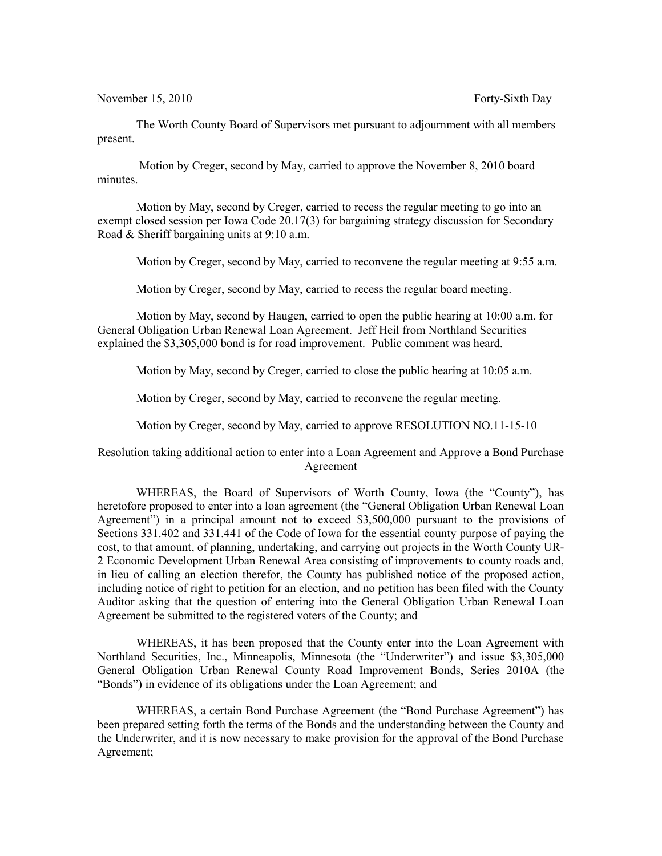November 15, 2010 **Forty-Sixth Day** 

The Worth County Board of Supervisors met pursuant to adjournment with all members present.

 Motion by Creger, second by May, carried to approve the November 8, 2010 board minutes.

Motion by May, second by Creger, carried to recess the regular meeting to go into an exempt closed session per Iowa Code 20.17(3) for bargaining strategy discussion for Secondary Road & Sheriff bargaining units at 9:10 a.m.

Motion by Creger, second by May, carried to reconvene the regular meeting at 9:55 a.m.

Motion by Creger, second by May, carried to recess the regular board meeting.

Motion by May, second by Haugen, carried to open the public hearing at 10:00 a.m. for General Obligation Urban Renewal Loan Agreement. Jeff Heil from Northland Securities explained the \$3,305,000 bond is for road improvement. Public comment was heard.

Motion by May, second by Creger, carried to close the public hearing at 10:05 a.m.

Motion by Creger, second by May, carried to reconvene the regular meeting.

Motion by Creger, second by May, carried to approve RESOLUTION NO.11-15-10

Resolution taking additional action to enter into a Loan Agreement and Approve a Bond Purchase Agreement

WHEREAS, the Board of Supervisors of Worth County, Iowa (the "County"), has heretofore proposed to enter into a loan agreement (the "General Obligation Urban Renewal Loan Agreement") in a principal amount not to exceed \$3,500,000 pursuant to the provisions of Sections 331.402 and 331.441 of the Code of Iowa for the essential county purpose of paying the cost, to that amount, of planning, undertaking, and carrying out projects in the Worth County UR-2 Economic Development Urban Renewal Area consisting of improvements to county roads and, in lieu of calling an election therefor, the County has published notice of the proposed action, including notice of right to petition for an election, and no petition has been filed with the County Auditor asking that the question of entering into the General Obligation Urban Renewal Loan Agreement be submitted to the registered voters of the County; and

WHEREAS, it has been proposed that the County enter into the Loan Agreement with Northland Securities, Inc., Minneapolis, Minnesota (the "Underwriter") and issue \$3,305,000 General Obligation Urban Renewal County Road Improvement Bonds, Series 2010A (the "Bonds") in evidence of its obligations under the Loan Agreement; and

WHEREAS, a certain Bond Purchase Agreement (the "Bond Purchase Agreement") has been prepared setting forth the terms of the Bonds and the understanding between the County and the Underwriter, and it is now necessary to make provision for the approval of the Bond Purchase Agreement;